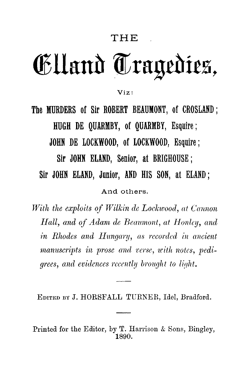## THE

## Elland Tragedies,

Viz :

**The MURDERS of Sir ROBERT BEAUMONT, of CROSLAND ; HUGH DE QUARMBY, of QUARMBY, Esquire ; JOHN DE LOCKWOOD, of LOCKWOOD, Esquire ; Sir JOHN ELAND, Senior, at BRIGHOUSE ; Sir JOHN ELAND, Junior, AND HIS SON, at ELAND ;** And others.

*With the exploits of Wilkin de Lockwood, at Cannon Hall, and of Adam de Beaumont, at Honley, and in Rhodes and Hungary, as recorded in ancient manuscripts in prose and verse, with notes, pedigrees, and evidences recently brought to light.*

EDITED BY J. HORSFALL TURNER, Idel, Bradford.

Printed for the Editor, by T. Harrison & Sons, Bingley, 1890.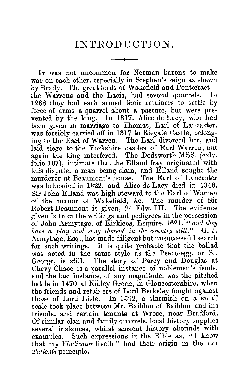## INTRODUCTION.

IT was not uncommon for Norman barons to make war on each other, especially in Stephen's reign as shewn by Brady. The great lords of Wakefield and Pontefract the Warrens and the Lacis, had several quarrels. In 1268 they had each armed their retainers to settle by force of arms a quarrel about a pasture, but were prevented by the king. In 1317, Alice de Lacy, who had been given in marriage to Thomas, Earl of Lancaster, was forcibly carried off in 1317 to Riegate Castle, belonging to the Earl of Warren. The Earl divorced her, and laid siege to the Yorkshire castles of Earl Warren, but again the king interfered. The Dodsworth MSS. (cxlv. folio 107), intimate that the Elland fray originated with this dispute, a man being slain, and Elland sought the murderer at Beaumont's house. was beheaded in 1322, and Alice de Lacy died in 1348. Sir John Elland was high steward to the Earl of Warren of the manor of Wakefield, &c. The murder of Sir Robert Beaumont is given, 24 Edw. III. The evidence given is from the writings and pedigrees in the possession of John Armytage, of Kirklees, Esquire, 1621, " *and they have a play and song thereof in the country still."* G. J. Armytage, Esq., has made diligent but unsuccessful search for such writings. It is quite probable that the ballad was acted in the same style as the Peace-egg, or St. George, is still. The story of Percy and Douglas at Chevy Chace is a parallel instance of noblemen's feuds, and the last instance, of any magnitude, was the pitched battle in 1470 at Nibley Green, in Gloucestershire, when the friends and retainers of Lord Berkeley fought against those of Lord Lisle. In 1592, a skirmish on a small scale took place between Mr. Baildon of Baildon and his friends, and certain tenants at Wrose, near Bradford. Of similar clan and family quarrels, local history supplies several instances, whilst ancient history abounds with examples. Such expressions in the Bible as, " I know that my *Vindicator* liveth " had their origin in the *Lex Talionis* principle.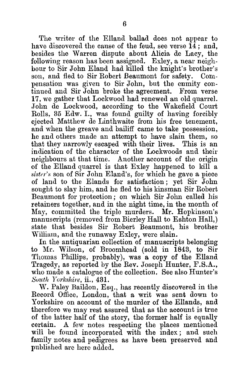The writer of the Elland ballad does not appear to have discovered the cause of the feud, see verse  $14$ ; and, besides the Warren dispute about Alicia de Lacy, the following reason has been assigned. Exley, a near neighbour to Sir John Eland had killed the knight's brother's son, and fled to Sir Robert Beaumont for safety. Compensation was given to Sir John, but the enmity continued and Sir John broke the agreement. From verse 17, we gather that Lockwood had renewed an old quarrel. John de Lockwood, according to the Wakefield Court Rolls, 35 Edw. I., was found guilty of having forcibly ejected Matthew de Linthwaite from his free tenement, and when the greave and bailiff came to take possession, he and others made an attempt to have slain them, so that they narrowly escaped with their lives. This is an indication of the character of the Lockwoods and their neighbours at that time. Another account of the origin of the Elland quarrel is that Exley happened to kill a *sister's* son of Sir John Eland's, for which he gave a piece of land to the Elands for satisfaction ; yet Sir John sought to slay him, and he fled to his kinsman Sir Robert Beaumont for protection ; on which Sir John called his retainers together, and in the night time, in the month of May, committed the triple murders. Mr. Hopkinson's manuscripts (removed from Bierley Hall to Eshton Hall,) state that besides Sir Robert Beaumont, his brother William, and the runaway Exley, were slain.

In the antiquarian collection of manuscripts belonging to Mr. Wilson, of Broomhead (sold in 1843, to Sir Thomas Phillips, probably), was a copy of the Elland Tragedy, as reported by the Rev. Joseph Hunter, F.S.A., who made a catalogue of the collection. See also Hunter's *South Yorkshire,* ii., 431.

W. Paley Baildon, Esq., has recently discovered in the Record Office, London, that a writ was sent down to Yorkshire on account of the murder of the Ellands, and therefore we may rest assured that as the account is true of the latter half of the story, the former half is equally certain. A few notes respecting the places mentioned will be found incorporated with the index; and such family notes and pedigrees as have been preserved and published are here added.